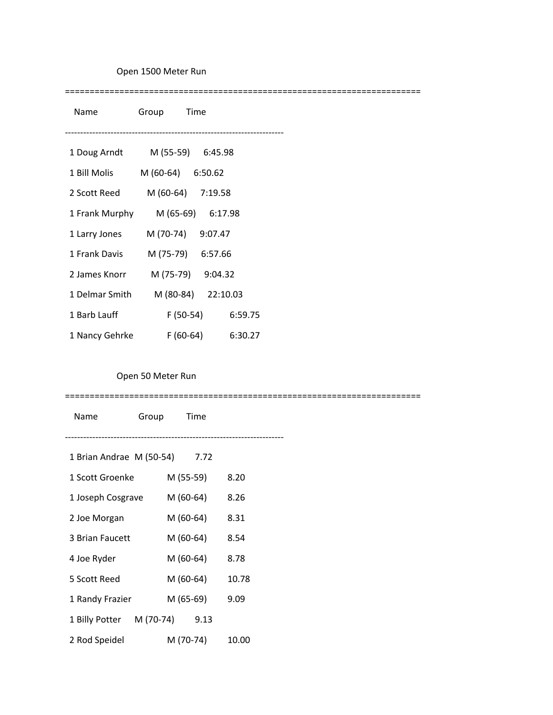## Open 1500 Meter Run

========================================================================

| Name           | Group<br>Time        |
|----------------|----------------------|
|                |                      |
| 1 Doug Arndt   | M (55-59) 6:45.98    |
| 1 Bill Molis   | M (60-64) 6:50.62    |
| 2 Scott Reed   | M (60-64) 7:19.58    |
| 1 Frank Murphy | M (65-69) 6:17.98    |
| 1 Larry Jones  | M (70-74) 9:07.47    |
| 1 Frank Davis  | M (75-79) 6:57.66    |
| 2 James Knorr  | M (75-79) 9:04.32    |
| 1 Delmar Smith | M (80-84) 22:10.03   |
| 1 Barb Lauff   | $F(50-54)$ 6:59.75   |
| 1 Nancy Gehrke | F (60-64)<br>6:30.27 |

## Open 50 Meter Run

========================================================================

| Name                          | Group Time |           |           |       |
|-------------------------------|------------|-----------|-----------|-------|
|                               |            |           |           |       |
| 1 Brian Andrae M (50-54) 7.72 |            |           |           |       |
| 1 Scott Groenke               |            | M (55-59) |           | 8.20  |
| 1 Joseph Cosgrave             |            | M (60-64) |           | 8.26  |
| 2 Joe Morgan                  |            | M (60-64) |           | 8.31  |
| 3 Brian Faucett               |            | M (60-64) |           | 8.54  |
| 4 Joe Ryder                   |            | M (60-64) |           | 8.78  |
| 5 Scott Reed                  |            | M (60-64) |           | 10.78 |
| 1 Randy Frazier               |            |           | M (65-69) | 9.09  |
| 1 Billy Potter M (70-74) 9.13 |            |           |           |       |
| 2 Rod Speidel                 |            |           | M (70-74) | 10.00 |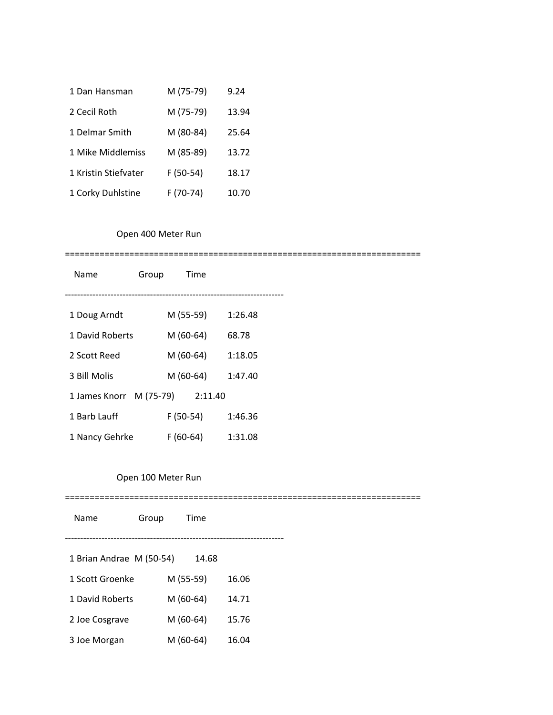| 1 Dan Hansman        | M (75-79)  | 9.24  |
|----------------------|------------|-------|
| 2 Cecil Roth         | M (75-79)  | 13.94 |
| 1 Delmar Smith       | M (80-84)  | 25.64 |
| 1 Mike Middlemiss    | M (85-89)  | 13.72 |
| 1 Kristin Stiefvater | $F(50-54)$ | 18.17 |
| 1 Corky Duhlstine    | F (70-74)  | 10.70 |

# Open 400 Meter Run

#### ========================================================================

| Name                    | Group |            | Time    |         |
|-------------------------|-------|------------|---------|---------|
|                         |       |            |         |         |
| 1 Doug Arndt            |       | M (55-59)  |         | 1:26.48 |
| 1 David Roberts         |       | M (60-64)  |         | 68.78   |
| 2 Scott Reed            |       | M (60-64)  |         | 1:18.05 |
| 3 Bill Molis            |       | M (60-64)  |         | 1:47.40 |
| 1 James Knorr M (75-79) |       |            | 2:11.40 |         |
| 1 Barb Lauff            |       | $F(50-54)$ |         | 1:46.36 |
| 1 Nancy Gehrke          |       | F (60-64)  |         | 1:31.08 |

## Open 100 Meter Run

========================================================================

| Name                     | Group | Time      |       |  |
|--------------------------|-------|-----------|-------|--|
| 1 Brian Andrae M (50-54) |       | 14.68     |       |  |
| 1 Scott Groenke          |       | M (55-59) | 16.06 |  |
| 1 David Roberts          |       | M (60-64) | 14.71 |  |
| 2 Joe Cosgrave           |       | M (60-64) | 15.76 |  |
| 3 Joe Morgan             |       | M (60-64) | 16.04 |  |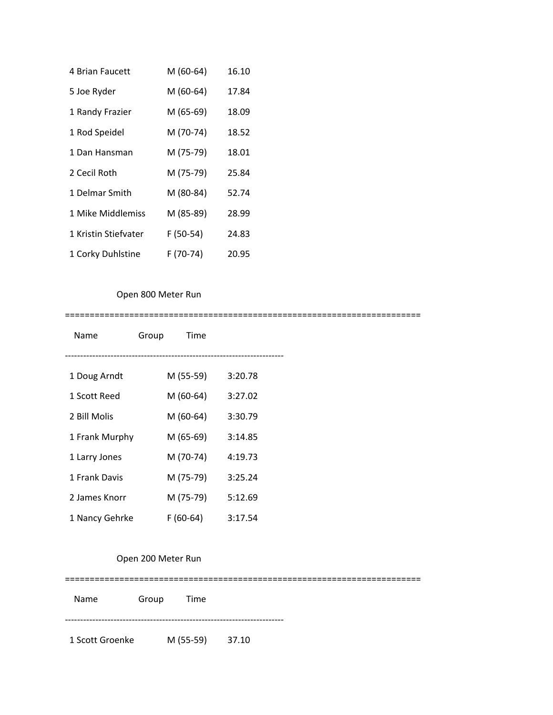| 4 Brian Faucett      | M (60-64) | 16.10 |
|----------------------|-----------|-------|
| 5 Joe Ryder          | M (60-64) | 17.84 |
| 1 Randy Frazier      | M (65-69) | 18.09 |
| 1 Rod Speidel        | M (70-74) | 18.52 |
| 1 Dan Hansman        | M (75-79) | 18.01 |
| 2 Cecil Roth         | M (75-79) | 25.84 |
| 1 Delmar Smith       | M (80-84) | 52.74 |
| 1 Mike Middlemiss    | M (85-89) | 28.99 |
| 1 Kristin Stiefvater | F (50-54) | 24.83 |
| 1 Corky Duhlstine    | F (70-74) | 20.95 |

## Open 800 Meter Run

========================================================================

| Name           | Group | Time       |         |  |
|----------------|-------|------------|---------|--|
|                |       |            |         |  |
| 1 Doug Arndt   |       | M (55-59)  | 3:20.78 |  |
| 1 Scott Reed   |       | M (60-64)  | 3:27.02 |  |
| 2 Bill Molis   |       | M (60-64)  | 3:30.79 |  |
| 1 Frank Murphy |       | M (65-69)  | 3:14.85 |  |
| 1 Larry Jones  |       | M (70-74)  | 4:19.73 |  |
| 1 Frank Davis  |       | M (75-79)  | 3:25.24 |  |
| 2 James Knorr  |       | M (75-79)  | 5:12.69 |  |
| 1 Nancy Gehrke |       | $F(60-64)$ | 3:17.54 |  |

### Open 200 Meter Run

======================================================================== Name Group Time ------------------------------------------------------------------------ 1 Scott Groenke M (55-59) 37.10